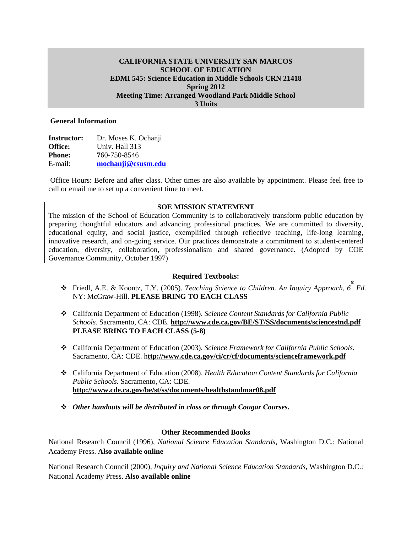# **CALIFORNIA STATE UNIVERSITY SAN MARCOS SCHOOL OF EDUCATION EDMI 545: Science Education in Middle Schools CRN 21418 Spring 2012 Meeting Time: Arranged Woodland Park Middle School 3 Units**

#### **General Information**

| <b>Instructor:</b> | Dr. Moses K. Ochanji |
|--------------------|----------------------|
| <b>Office:</b>     | Univ. Hall 313       |
| <b>Phone:</b>      | 760-750-8546         |
| E-mail:            | mochanji@csusm.edu   |

Office Hours: Before and after class. Other times are also available by appointment. Please feel free to call or email me to set up a convenient time to meet.

## **SOE MISSION STATEMENT**

The mission of the School of Education Community is to collaboratively transform public education by preparing thoughtful educators and advancing professional practices. We are committed to diversity, educational equity, and social justice, exemplified through reflective teaching, life-long learning, innovative research, and on-going service. Our practices demonstrate a commitment to student-centered education, diversity, collaboration, professionalism and shared governance. (Adopted by COE Governance Community, October 1997)

# **Required Textbooks:**

- *th*  Friedl, A.E. & Koontz, T.Y. (2005). *Teaching Science to Children. An Inquiry Approach, 6 Ed.*  NY: McGraw-Hill. **PLEASE BRING TO EACH CLASS**
- California Department of Education (1998). *Science Content Standards for California Public Schools.* Sacramento, CA: CDE. **http://www.cde.ca.gov/BE/ST/SS/documents/sciencestnd.pdf PLEASE BRING TO EACH CLASS (5-8)**
- California Department of Education (2003). *Science Framework for California Public Schools.*  Sacramento, CA: CDE. h**ttp://www.cde.ca.gov/ci/cr/cf/documents/scienceframework.pdf**
- California Department of Education (2008). *Health Education Content Standards for California Public Schools.* Sacramento, CA: CDE. **http://www.cde.ca.gov/be/st/ss/documents/healthstandmar08.pdf**
- *Other handouts will be distributed in class or through Cougar Courses.*

#### **Other Recommended Books**

National Research Council (1996), *National Science Education Standards*, Washington D.C.: National Academy Press. **Also available online** 

National Research Council (2000), *Inquiry and National Science Education Standards*, Washington D.C.: National Academy Press. **Also available online**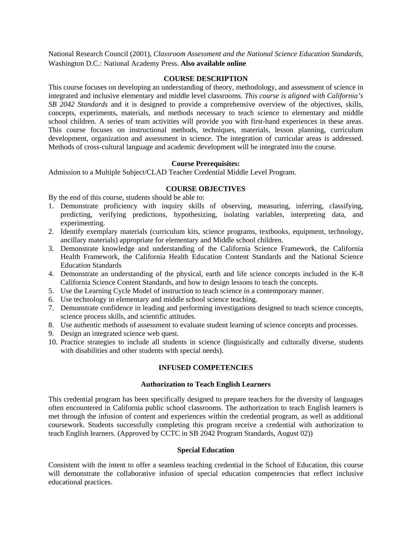National Research Council (2001), *Classroom Assessment and the National Science Education Standards*, Washington D.C.: National Academy Press. **Also available online** 

#### **COURSE DESCRIPTION**

This course focuses on developing an understanding of theory, methodology, and assessment of science in integrated and inclusive elementary and middle level classrooms. *This course is aligned with California's SB 2042 Standards* and it is designed to provide a comprehensive overview of the objectives, skills, concepts, experiments, materials, and methods necessary to teach science to elementary and middle school children. A series of team activities will provide you with first-hand experiences in these areas. This course focuses on instructional methods, techniques, materials, lesson planning, curriculum development, organization and assessment in science. The integration of curricular areas is addressed. Methods of cross-cultural language and academic development will be integrated into the course.

#### **Course Prerequisites:**

Admission to a Multiple Subject/CLAD Teacher Credential Middle Level Program.

# **COURSE OBJECTIVES**

By the end of this course, students should be able to:

- 1. Demonstrate proficiency with inquiry skills of observing, measuring, inferring, classifying, predicting, verifying predictions, hypothesizing, isolating variables, interpreting data, and experimenting.
- 2. Identify exemplary materials (curriculum kits, science programs, textbooks, equipment, technology, ancillary materials) appropriate for elementary and Middle school children.
- 3. Demonstrate knowledge and understanding of the California Science Framework, the California Health Framework, the California Health Education Content Standards and the National Science Education Standards
- 4. Demonstrate an understanding of the physical, earth and life science concepts included in the K-8 California Science Content Standards, and how to design lessons to teach the concepts.
- 5. Use the Learning Cycle Model of instruction to teach science in a contemporary manner.
- 6. Use technology in elementary and middle school science teaching.
- 7. Demonstrate confidence in leading and performing investigations designed to teach science concepts, science process skills, and scientific attitudes.
- 8. Use authentic methods of assessment to evaluate student learning of science concepts and processes.
- 9. Design an integrated science web quest.
- with disabilities and other students with special needs). 10. Practice strategies to include all students in science (linguistically and culturally diverse, students

## **INFUSED COMPETENCIES**

#### **Authorization to Teach English Learners**

This credential program has been specifically designed to prepare teachers for the diversity of languages often encountered in California public school classrooms. The authorization to teach English learners is met through the infusion of content and experiences within the credential program, as well as additional coursework. Students successfully completing this program receive a credential with authorization to teach English learners. (Approved by CCTC in SB 2042 Program Standards, August 02))

#### **Special Education**

Consistent with the intent to offer a seamless teaching credential in the School of Education, this course will demonstrate the collaborative infusion of special education competencies that reflect inclusive educational practices.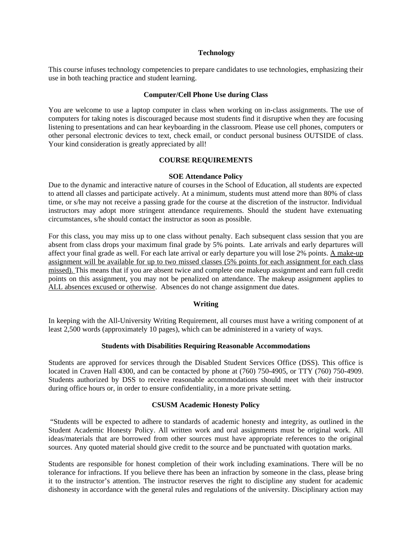#### **Technology**

This course infuses technology competencies to prepare candidates to use technologies, emphasizing their use in both teaching practice and student learning.

#### **Computer/Cell Phone Use during Class**

You are welcome to use a laptop computer in class when working on in-class assignments. The use of computers for taking notes is discouraged because most students find it disruptive when they are focusing listening to presentations and can hear keyboarding in the classroom. Please use cell phones, computers or other personal electronic devices to text, check email, or conduct personal business OUTSIDE of class. Your kind consideration is greatly appreciated by all!

### **COURSE REQUIREMENTS**

#### **SOE Attendance Policy**

Due to the dynamic and interactive nature of courses in the School of Education, all students are expected to attend all classes and participate actively. At a minimum, students must attend more than 80% of class time, or s/he may not receive a passing grade for the course at the discretion of the instructor. Individual instructors may adopt more stringent attendance requirements. Should the student have extenuating circumstances, s/he should contact the instructor as soon as possible.

For this class, you may miss up to one class without penalty. Each subsequent class session that you are absent from class drops your maximum final grade by 5% points. Late arrivals and early departures will affect your final grade as well. For each late arrival or early departure you will lose 2% points. A make-up assignment will be available for up to two missed classes (5% points for each assignment for each class missed). This means that if you are absent twice and complete one makeup assignment and earn full credit points on this assignment, you may not be penalized on attendance. The makeup assignment applies to ALL absences excused or otherwise. Absences do not change assignment due dates.

# **Writing**

 least 2,500 words (approximately 10 pages), which can be administered in a variety of ways. In keeping with the All-University Writing Requirement, all courses must have a writing component of at

#### **Students with Disabilities Requiring Reasonable Accommodations**

Students are approved for services through the Disabled Student Services Office (DSS). This office is located in Craven Hall 4300, and can be contacted by phone at (760) 750-4905, or TTY (760) 750-4909. Students authorized by DSS to receive reasonable accommodations should meet with their instructor during office hours or, in order to ensure confidentiality, in a more private setting.

#### **CSUSM Academic Honesty Policy**

"Students will be expected to adhere to standards of academic honesty and integrity, as outlined in the Student Academic Honesty Policy. All written work and oral assignments must be original work. All ideas/materials that are borrowed from other sources must have appropriate references to the original sources. Any quoted material should give credit to the source and be punctuated with quotation marks.

Students are responsible for honest completion of their work including examinations. There will be no tolerance for infractions. If you believe there has been an infraction by someone in the class, please bring it to the instructor's attention. The instructor reserves the right to discipline any student for academic dishonesty in accordance with the general rules and regulations of the university. Disciplinary action may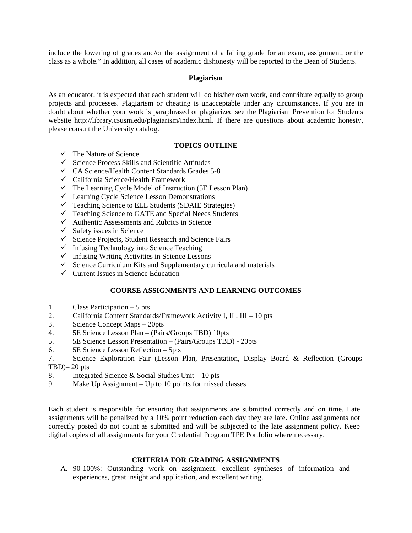include the lowering of grades and/or the assignment of a failing grade for an exam, assignment, or the class as a whole." In addition, all cases of academic dishonesty will be reported to the Dean of Students.

### **Plagiarism**

As an educator, it is expected that each student will do his/her own work, and contribute equally to group projects and processes. Plagiarism or cheating is unacceptable under any circumstances. If you are in doubt about whether your work is paraphrased or plagiarized see the Plagiarism Prevention for Students website http://library.csusm.edu/plagiarism/index.html. If there are questions about academic honesty, please consult the University catalog.

# **TOPICS OUTLINE**

- $\checkmark$  The Nature of Science
- $\checkmark$  Science Process Skills and Scientific Attitudes
- $\checkmark$  CA Science/Health Content Standards Grades 5-8
- $\checkmark$  California Science/Health Framework
- $\checkmark$  The Learning Cycle Model of Instruction (5E Lesson Plan)
- $\checkmark$  Learning Cycle Science Lesson Demonstrations
- $\checkmark$  Teaching Science to ELL Students (SDAIE Strategies)
- $\checkmark$  Teaching Science to GATE and Special Needs Students
- $\checkmark$  Authentic Assessments and Rubrics in Science
- $\checkmark$  Safety issues in Science
- $\checkmark$  Science Projects, Student Research and Science Fairs
- $\checkmark$  Infusing Technology into Science Teaching
- $\checkmark$  Infusing Writing Activities in Science Lessons
- $\checkmark$  Science Curriculum Kits and Supplementary curricula and materials
- $\checkmark$  Current Issues in Science Education

# **COURSE ASSIGNMENTS AND LEARNING OUTCOMES**

- 1. Class Participation 5 pts
- 2. California Content Standards/Framework Activity I, II, III 10 pts<br>3. Science Concept Maps 20pts
- 
- 4. 5E Science Lesson Plan (Pairs/Groups TBD) 10pts
- 5. 5E Science Lesson Presentation (Pairs/Groups TBD) 20pts
- 6. 5E Science Lesson Reflection 5pts
- 7. Science Exploration Fair (Lesson Plan, Presentation, Display Board & Reflection (Groups  $TBD$ – 20 pts
- 8. Integrated Science & Social Studies Unit 10 pts
- 9. Make Up Assignment Up to 10 points for missed classes

 digital copies of all assignments for your Credential Program TPE Portfolio where necessary. Each student is responsible for ensuring that assignments are submitted correctly and on time. Late assignments will be penalized by a 10% point reduction each day they are late. Online assignments not correctly posted do not count as submitted and will be subjected to the late assignment policy. Keep

# **CRITERIA FOR GRADING ASSIGNMENTS**

A. 90-100%: Outstanding work on assignment, excellent syntheses of information and experiences, great insight and application, and excellent writing.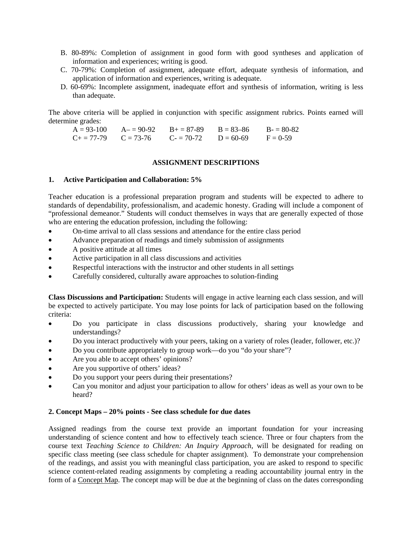- B. 80-89%: Completion of assignment in good form with good syntheses and application of information and experiences; writing is good.
- C. 70-79%: Completion of assignment, adequate effort, adequate synthesis of information, and application of information and experiences, writing is adequate.
- D. 60-69%: Incomplete assignment, inadequate effort and synthesis of information, writing is less than adequate.

The above criteria will be applied in conjunction with specific assignment rubrics. Points earned will determine grades:

 $B = 83 - 86$  $A = 93-100$   $A = 90-92$   $B = 87-89$   $B = 83-86$   $B = 80-82$ <br>  $C = 77-79$   $C = 73-76$   $C = 70-72$   $D = 60-69$   $F = 0-59$  $C_{+} = 77-79$   $C = 73-76$   $C_{-} = 70-72$   $D = 60-69$   $F = 0-59$ 

## **ASSIGNMENT DESCRIPTIONS**

# **1. Active Participation and Collaboration: 5%**

Teacher education is a professional preparation program and students will be expected to adhere to standards of dependability, professionalism, and academic honesty. Grading will include a component of "professional demeanor." Students will conduct themselves in ways that are generally expected of those who are entering the education profession, including the following:

- On-time arrival to all class sessions and attendance for the entire class period
- Advance preparation of readings and timely submission of assignments
- A positive attitude at all times
- Active participation in all class discussions and activities
- Respectful interactions with the instructor and other students in all settings
- Carefully considered, culturally aware approaches to solution-finding

**Class Discussions and Participation:** Students will engage in active learning each class session, and will be expected to actively participate. You may lose points for lack of participation based on the following criteria:

- Do you participate in class discussions productively, sharing your knowledge and understandings?
- Do you interact productively with your peers, taking on a variety of roles (leader, follower, etc.)?
- Do you contribute appropriately to group work—do you "do your share"?
- Are you able to accept others' opinions?
- Are you supportive of others' ideas?
- Do you support your peers during their presentations?
- Can you monitor and adjust your participation to allow for others' ideas as well as your own to be heard?

# **2. Concept Maps – 20% points - See class schedule for due dates**

Assigned readings from the course text provide an important foundation for your increasing understanding of science content and how to effectively teach science. Three or four chapters from the course text *Teaching Science to Children: An Inquiry Approach*, will be designated for reading on specific class meeting (see class schedule for chapter assignment). To demonstrate your comprehension of the readings, and assist you with meaningful class participation, you are asked to respond to specific science content-related reading assignments by completing a reading accountability journal entry in the form of a Concept Map. The concept map will be due at the beginning of class on the dates corresponding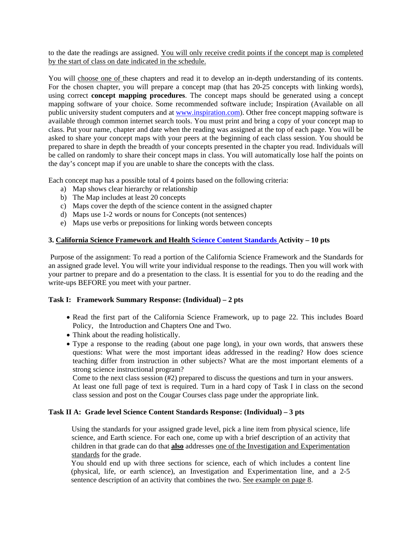by the start of class on date indicated in the schedule. to the date the readings are assigned. You will only receive credit points if the concept map is completed

You will choose one of these chapters and read it to develop an in-depth understanding of its contents. For the chosen chapter, you will prepare a concept map (that has 20-25 concepts with linking words), using correct **concept mapping procedures**. The concept maps should be generated using a concept mapping software of your choice. Some recommended software include; Inspiration (Available on all public university student computers and at www.inspiration.com). Other free concept mapping software is available through common internet search tools. You must print and bring a copy of your concept map to class. Put your name, chapter and date when the reading was assigned at the top of each page. You will be asked to share your concept maps with your peers at the beginning of each class session. You should be prepared to share in depth the breadth of your concepts presented in the chapter you read. Individuals will be called on randomly to share their concept maps in class. You will automatically lose half the points on the day's concept map if you are unable to share the concepts with the class.

Each concept map has a possible total of 4 points based on the following criteria:

- a) Map shows clear hierarchy or relationship
- b) The Map includes at least 20 concepts
- c) Maps cover the depth of the science content in the assigned chapter
- d) Maps use 1-2 words or nouns for Concepts (not sentences)
- e) Maps use verbs or prepositions for linking words between concepts

# **3. California Science Framework and Health Science Content Standards Activity – 10 pts**

Purpose of the assignment: To read a portion of the California Science Framework and the Standards for an assigned grade level. You will write your individual response to the readings. Then you will work with your partner to prepare and do a presentation to the class. It is essential for you to do the reading and the write-ups BEFORE you meet with your partner.

# **Task I: Framework Summary Response: (Individual) – 2 pts**

- Read the first part of the California Science Framework, up to page 22. This includes Board Policy, the Introduction and Chapters One and Two.
- Think about the reading holistically.
- Type a response to the reading (about one page long), in your own words, that answers these questions: What were the most important ideas addressed in the reading? How does science teaching differ from instruction in other subjects? What are the most important elements of a strong science instructional program?

Come to the next class session (#2) prepared to discuss the questions and turn in your answers.

At least one full page of text is required. Turn in a hard copy of Task I in class on the second class session and post on the Cougar Courses class page under the appropriate link.

# **Task II A: Grade level Science Content Standards Response: (Individual) – 3 pts**

Using the standards for your assigned grade level, pick a line item from physical science, life science, and Earth science. For each one, come up with a brief description of an activity that children in that grade can do that **also** addresses one of the Investigation and Experimentation standards for the grade.

You should end up with three sections for science, each of which includes a content line (physical, life, or earth science), an Investigation and Experimentation line, and a 2-5 sentence description of an activity that combines the two. See example on page 8.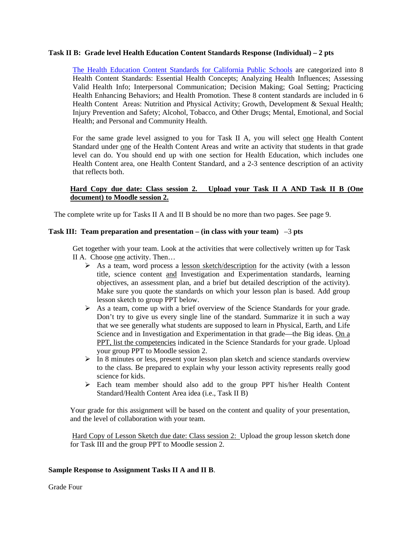### **Task II B: Grade level Health Education Content Standards Response (Individual) – 2 pts**

The Health Education Content Standards for California Public Schools are categorized into 8 Health Content Standards: Essential Health Concepts; Analyzing Health Influences; Assessing Valid Health Info; Interpersonal Communication; Decision Making; Goal Setting; Practicing Health Enhancing Behaviors; and Health Promotion. These 8 content standards are included in 6 Health Content Areas: Nutrition and Physical Activity; Growth, Development & Sexual Health; Injury Prevention and Safety; Alcohol, Tobacco, and Other Drugs; Mental, Emotional, and Social Health; and Personal and Community Health.

For the same grade level assigned to you for Task II A, you will select one Health Content Standard under one of the Health Content Areas and write an activity that students in that grade level can do. You should end up with one section for Health Education, which includes one Health Content area, one Health Content Standard, and a 2-3 sentence description of an activity that reflects both.

# **Hard Copy due date: Class session 2. Upload your Task II A AND Task II B (One document) to Moodle session 2.**

The complete write up for Tasks II A and II B should be no more than two pages. See page 9.

## **Task III: Team preparation and presentation – (in class with your team)** –3 **pts**

Get together with your team. Look at the activities that were collectively written up for Task II A. Choose one activity. Then…

- $\triangleright$  As a team, word process a lesson sketch/description for the activity (with a lesson title, science content and Investigation and Experimentation standards, learning objectives, an assessment plan, and a brief but detailed description of the activity). Make sure you quote the standards on which your lesson plan is based. Add group lesson sketch to group PPT below.
- $\triangleright$  As a team, come up with a brief overview of the Science Standards for your grade. Don't try to give us every single line of the standard. Summarize it in such a way that we see generally what students are supposed to learn in Physical, Earth, and Life Science and in Investigation and Experimentation in that grade—the Big ideas. On a PPT, list the competencies indicated in the Science Standards for your grade. Upload your group PPT to Moodle session 2.
- $\triangleright$  In 8 minutes or less, present your lesson plan sketch and science standards overview to the class. Be prepared to explain why your lesson activity represents really good science for kids.
- Each team member should also add to the group PPT his/her Health Content Standard/Health Content Area idea (i.e., Task II B)

Your grade for this assignment will be based on the content and quality of your presentation, and the level of collaboration with your team.

Hard Copy of Lesson Sketch due date: Class session 2: Upload the group lesson sketch done for Task III and the group PPT to Moodle session 2.

### **Sample Response to Assignment Tasks II A and II B**.

Grade Four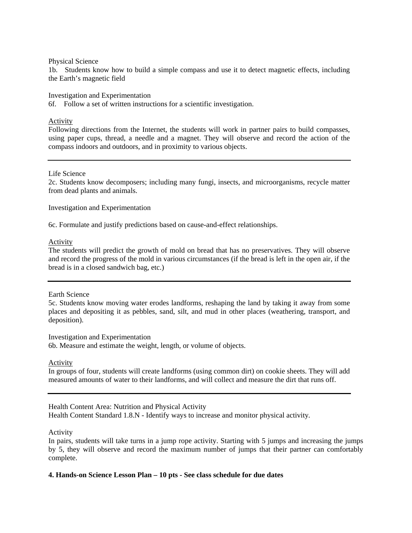#### Physical Science

1b. Students know how to build a simple compass and use it to detect magnetic effects, including the Earth's magnetic field

### Investigation and Experimentation

6f. Follow a set of written instructions for a scientific investigation.

# Activity

Following directions from the Internet, the students will work in partner pairs to build compasses, using paper cups, thread, a needle and a magnet. They will observe and record the action of the compass indoors and outdoors, and in proximity to various objects.

### Life Science

2c. Students know decomposers; including many fungi, insects, and microorganisms, recycle matter from dead plants and animals.

Investigation and Experimentation

6c. Formulate and justify predictions based on cause-and-effect relationships.

### Activity

The students will predict the growth of mold on bread that has no preservatives. They will observe and record the progress of the mold in various circumstances (if the bread is left in the open air, if the bread is in a closed sandwich bag, etc.)

#### Earth Science

5c. Students know moving water erodes landforms, reshaping the land by taking it away from some places and depositing it as pebbles, sand, silt, and mud in other places (weathering, transport, and deposition).

Investigation and Experimentation 6b. Measure and estimate the weight, length, or volume of objects.

Activity

In groups of four, students will create landforms (using common dirt) on cookie sheets. They will add measured amounts of water to their landforms, and will collect and measure the dirt that runs off.

Health Content Area: Nutrition and Physical Activity

Health Content Standard 1.8.N - Identify ways to increase and monitor physical activity*.* 

# Activity

In pairs, students will take turns in a jump rope activity. Starting with 5 jumps and increasing the jumps by 5, they will observe and record the maximum number of jumps that their partner can comfortably complete.

# **4. Hands-on Science Lesson Plan – 10 pts** *-* **See class schedule for due dates**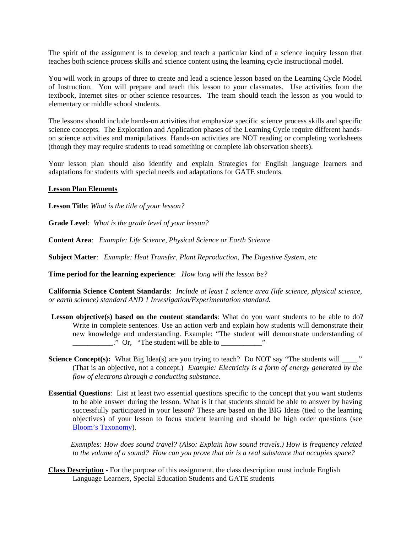The spirit of the assignment is to develop and teach a particular kind of a science inquiry lesson that teaches both science process skills and science content using the learning cycle instructional model.

You will work in groups of three to create and lead a science lesson based on the Learning Cycle Model of Instruction. You will prepare and teach this lesson to your classmates. Use activities from the textbook, Internet sites or other science resources. The team should teach the lesson as you would to elementary or middle school students.

The lessons should include hands-on activities that emphasize specific science process skills and specific science concepts. The Exploration and Application phases of the Learning Cycle require different handson science activities and manipulatives. Hands-on activities are NOT reading or completing worksheets (though they may require students to read something or complete lab observation sheets).

Your lesson plan should also identify and explain Strategies for English language learners and adaptations for students with special needs and adaptations for GATE students.

#### **Lesson Plan Elements**

**Lesson Title**: *What is the title of your lesson?* 

**Grade Level**: *What is the grade level of your lesson?* 

**Content Area**: *Example: Life Science, Physical Science or Earth Science* 

**Subject Matter**: *Example: Heat Transfer, Plant Reproduction, The Digestive System, etc* 

**Time period for the learning experience**: *How long will the lesson be?* 

**California Science Content Standards**: *Include at least 1 science area (life science, physical science, or earth science) standard AND 1 Investigation/Experimentation standard.* 

- Lesson objective(s) based on the content standards: What do you want students to be able to do? Write in complete sentences. Use an action verb and explain how students will demonstrate their new knowledge and understanding. Example: "The student will demonstrate understanding of  $\therefore$  Or, "The student will be able to  $\therefore$
- **Science Concept(s):** What Big Idea(s) are you trying to teach? Do NOT say "The students will \_\_\_\_." (That is an objective, not a concept.) *Example: Electricity is a form of energy generated by the flow of electrons through a conducting substance.*
- **Essential Questions**: List at least two essential questions specific to the concept that you want students to be able answer during the lesson. What is it that students should be able to answer by having successfully participated in your lesson? These are based on the BIG Ideas (tied to the learning objectives) of your lesson to focus student learning and should be high order questions (see Bloom's Taxonomy).

*Examples: How does sound travel? (Also: Explain how sound travels.) How is frequency related to the volume of a sound? How can you prove that air is a real substance that occupies space?* 

**Class Description -** For the purpose of this assignment, the class description must include English Language Learners, Special Education Students and GATE students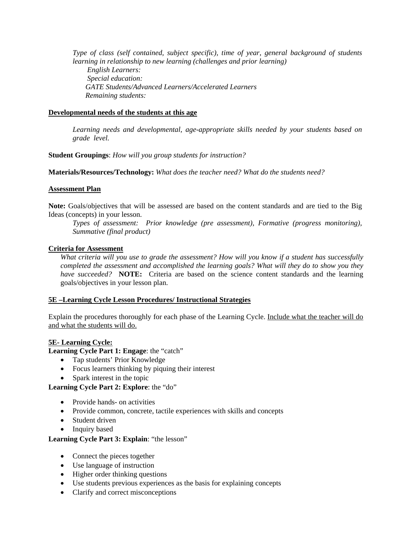*Type of class (self contained, subject specific), time of year, general background of students learning in relationship to new learning (challenges and prior learning) English Learners: Special education: GATE Students/Advanced Learners/Accelerated Learners Remaining students:* 

# **Developmental needs of the students at this age**

*Learning needs and developmental, age-appropriate skills needed by your students based on grade level.* 

# **Student Groupings**: *How will you group students for instruction?*

**Materials/Resources/Technology:** *What does the teacher need? What do the students need?* 

# **Assessment Plan**

**Note:** Goals/objectives that will be assessed are based on the content standards and are tied to the Big Ideas (concepts) in your lesson.

*Types of assessment: Prior knowledge (pre assessment), Formative (progress monitoring), Summative (final product)* 

# **Criteria for Assessment**

 *have succeeded?* **NOTE:** Criteria are based on the science content standards and the learning *What criteria will you use to grade the assessment? How will you know if a student has successfully completed the assessment and accomplished the learning goals? What will they do to show you they*  goals/objectives in your lesson plan.

# **5E –Learning Cycle Lesson Procedures/ Instructional Strategies**

 and what the students will do. Explain the procedures thoroughly for each phase of the Learning Cycle. Include what the teacher will do

# **5E- Learning Cycle:**

**Learning Cycle Part 1: Engage**: the "catch"

- Tap students' Prior Knowledge
- Focus learners thinking by piquing their interest
- Spark interest in the topic

**Learning Cycle Part 2: Explore**: the "do"

- Provide hands- on activities
- Provide common, concrete, tactile experiences with skills and concepts
- Student driven
- Inquiry based

# **Learning Cycle Part 3: Explain**: "the lesson"

- Connect the pieces together
- Use language of instruction
- Higher order thinking questions
- Use students previous experiences as the basis for explaining concepts
- Clarify and correct misconceptions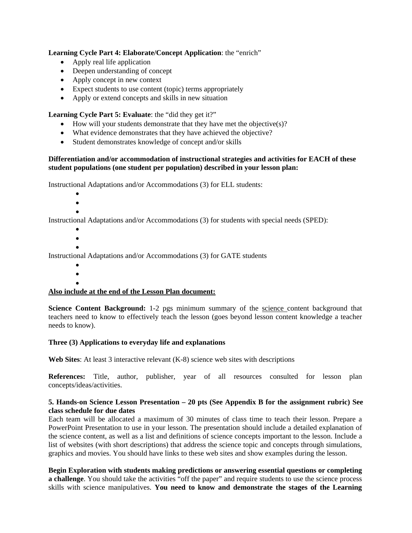# **Learning Cycle Part 4: Elaborate/Concept Application**: the "enrich"

- Apply real life application
- Deepen understanding of concept
- Apply concept in new context
- Expect students to use content (topic) terms appropriately <br>• Apply or extend concepts and skills in new situation
- Apply or extend concepts and skills in new situation

# **Learning Cycle Part 5: Evaluate**: the "did they get it?"

- How will your students demonstrate that they have met the objective(s)?
- What evidence demonstrates that they have achieved the objective?<br>• Student demonstrates knowledge of concept and/or skills
- Student demonstrates knowledge of concept and/or skills

# **Differentiation and/or accommodation of instructional strategies and activities for EACH of these student populations (one student per population) described in your lesson plan:**

Instructional Adaptations and/or Accommodations (3) for ELL students:

- $\bullet$
- $\bullet$
- $\bullet$

Instructional Adaptations and/or Accommodations (3) for students with special needs (SPED):

- $\bullet$  $\bullet$
- $\bullet$

Instructional Adaptations and/or Accommodations (3) for GATE students

- $\bullet$
- $\bullet$  $\bullet$

# **Also include at the end of the Lesson Plan document:**

**Science Content Background:** 1-2 pgs minimum summary of the science content background that teachers need to know to effectively teach the lesson (goes beyond lesson content knowledge a teacher needs to know).

# Three (3) Applications to everyday life and explanations

**Web Sites:** At least 3 interactive relevant (K-8) science web sites with descriptions

**References:** Title, author, publisher, year of all resources consulted for lesson plan concepts/ideas/activities.

# **5. Hands-on Science Lesson Presentation – 20 pts (See Appendix B for the assignment rubric) See class schedule for due dates**

Each team will be allocated a maximum of 30 minutes of class time to teach their lesson. Prepare a PowerPoint Presentation to use in your lesson. The presentation should include a detailed explanation of the science content, as well as a list and definitions of science concepts important to the lesson. Include a list of websites (with short descriptions) that address the science topic and concepts through simulations, graphics and movies. You should have links to these web sites and show examples during the lesson.

**Begin Exploration with students making predictions or answering essential questions or completing a challenge**. You should take the activities "off the paper" and require students to use the science process skills with science manipulatives. **You need to know and demonstrate the stages of the Learning**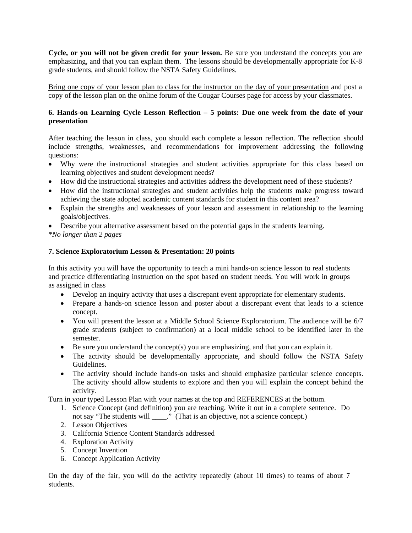**Cycle, or you will not be given credit for your lesson.** Be sure you understand the concepts you are emphasizing, and that you can explain them. The lessons should be developmentally appropriate for K-8 grade students, and should follow the NSTA Safety Guidelines.

Bring one copy of your lesson plan to class for the instructor on the day of your presentation and post a copy of the lesson plan on the online forum of the Cougar Courses page for access by your classmates.

# **6. Hands-on Learning Cycle Lesson Reflection – 5 points: Due one week from the date of your presentation**

After teaching the lesson in class, you should each complete a lesson reflection. The reflection should include strengths, weaknesses, and recommendations for improvement addressing the following questions:

- Why were the instructional strategies and student activities appropriate for this class based on learning objectives and student development needs?
- How did the instructional strategies and activities address the development need of these students?
- How did the instructional strategies and student activities help the students make progress toward achieving the state adopted academic content standards for student in this content area?
- Explain the strengths and weaknesses of your lesson and assessment in relationship to the learning goals/objectives.
- Describe your alternative assessment based on the potential gaps in the students learning.
- *\*No longer than 2 pages*

# **7. Science Exploratorium Lesson & Presentation: 20 points**

In this activity you will have the opportunity to teach a mini hands-on science lesson to real students and practice differentiating instruction on the spot based on student needs. You will work in groups as assigned in class

- Develop an inquiry activity that uses a discrepant event appropriate for elementary students.
- Prepare a hands-on science lesson and poster about a discrepant event that leads to a science concept.
- You will present the lesson at a Middle School Science Exploratorium. The audience will be 6/7 grade students (subject to confirmation) at a local middle school to be identified later in the semester.
- Be sure you understand the concept(s) you are emphasizing, and that you can explain it.
- The activity should be developmentally appropriate, and should follow the NSTA Safety Guidelines.
- The activity should include hands-on tasks and should emphasize particular science concepts. The activity should allow students to explore and then you will explain the concept behind the activity.

Turn in your typed Lesson Plan with your names at the top and REFERENCES at the bottom.

- 1. Science Concept (and definition) you are teaching. Write it out in a complete sentence. Do not say "The students will \_\_\_\_." (That is an objective, not a science concept.)
- 2. Lesson Objectives
- 3. California Science Content Standards addressed
- 4. Exploration Activity
- 5. Concept Invention
- 6. Concept Application Activity

On the day of the fair, you will do the activity repeatedly (about 10 times) to teams of about 7 students.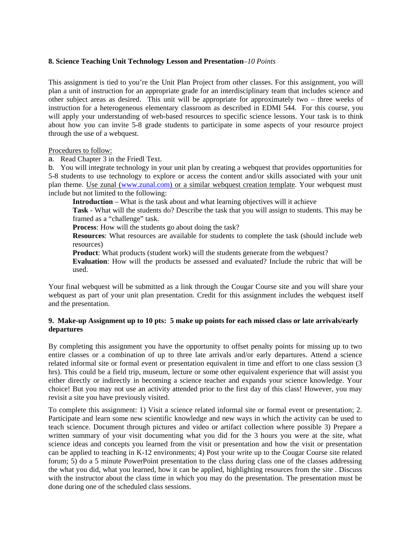# **8. Science Teaching Unit Technology Lesson and Presentation**–*10 Points*

This assignment is tied to you're the Unit Plan Project from other classes. For this assignment, you will plan a unit of instruction for an appropriate grade for an interdisciplinary team that includes science and other subject areas as desired. This unit will be appropriate for approximately two – three weeks of instruction for a heterogeneous elementary classroom as described in EDMI 544. For this course, you will apply your understanding of web-based resources to specific science lessons. Your task is to think about how you can invite 5-8 grade students to participate in some aspects of your resource project through the use of a webquest.

#### Procedures to follow:

a. Read Chapter 3 in the Friedl Text.

b. You will integrate technology in your unit plan by creating a webquest that provides opportunities for 5-8 students to use technology to explore or access the content and/or skills associated with your unit plan theme. Use zunal (www.zunal.com) or a similar webquest creation template. Your webquest must include but not limited to the following:

**Introduction** – What is the task about and what learning objectives will it achieve

**Task** - What will the students do? Describe the task that you will assign to students. This may be framed as a "challenge" task.

**Process**: How will the students go about doing the task?

**Resources**: What resources are available for students to complete the task (should include web resources)

**Product**: What products (student work) will the students generate from the webquest?

**Evaluation**: How will the products be assessed and evaluated? Include the rubric that will be used.

Your final webquest will be submitted as a link through the Cougar Course site and you will share your webquest as part of your unit plan presentation. Credit for this assignment includes the webquest itself and the presentation.

### **9. Make-up Assignment up to 10 pts: 5 make up points for each missed class or late arrivals/early departures**

revisit a site you have previously visited. By completing this assignment you have the opportunity to offset penalty points for missing up to two entire classes or a combination of up to three late arrivals and/or early departures. Attend a science related informal site or formal event or presentation equivalent in time and effort to one class session (3 hrs). This could be a field trip, museum, lecture or some other equivalent experience that will assist you either directly or indirectly in becoming a science teacher and expands your science knowledge. Your choice! But you may not use an activity attended prior to the first day of this class! However, you may

 science ideas and concepts you learned from the visit or presentation and how the visit or presentation To complete this assignment: 1) Visit a science related informal site or formal event or presentation; 2. Participate and learn some new scientific knowledge and new ways in which the activity can be used to teach science. Document through pictures and video or artifact collection where possible 3) Prepare a written summary of your visit documenting what you did for the 3 hours you were at the site, what can be applied to teaching in K-12 environments; 4) Post your write up to the Cougar Course site related forum; 5) do a 5 minute PowerPoint presentation to the class during class one of the classes addressing the what you did, what you learned, how it can be applied, highlighting resources from the site . Discuss with the instructor about the class time in which you may do the presentation. The presentation must be done during one of the scheduled class sessions.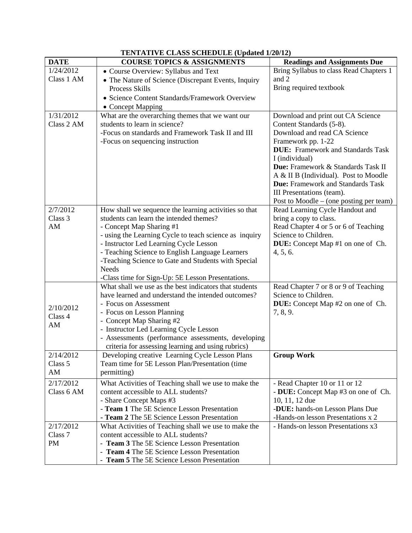| <b>TENTATIVE CLASS SCHEDULE (Updated 1/20/12)</b> |                                                                             |                                                              |  |
|---------------------------------------------------|-----------------------------------------------------------------------------|--------------------------------------------------------------|--|
| <b>DATE</b>                                       | <b>COURSE TOPICS &amp; ASSIGNMENTS</b>                                      | <b>Readings and Assignments Due</b>                          |  |
| 1/24/2012                                         | • Course Overview: Syllabus and Text                                        | Bring Syllabus to class Read Chapters 1                      |  |
| Class 1 AM                                        | • The Nature of Science (Discrepant Events, Inquiry                         | and 2                                                        |  |
|                                                   | Process Skills                                                              | Bring required textbook                                      |  |
|                                                   | • Science Content Standards/Framework Overview                              |                                                              |  |
|                                                   | • Concept Mapping                                                           |                                                              |  |
| 1/31/2012                                         | What are the overarching themes that we want our                            | Download and print out CA Science                            |  |
| Class 2 AM                                        | students to learn in science?                                               | Content Standards (5-8).                                     |  |
|                                                   | -Focus on standards and Framework Task II and III                           | Download and read CA Science                                 |  |
|                                                   | -Focus on sequencing instruction                                            | Framework pp. 1-22                                           |  |
|                                                   |                                                                             | <b>DUE:</b> Framework and Standards Task                     |  |
|                                                   |                                                                             | I (individual)                                               |  |
|                                                   |                                                                             | Due: Framework & Standards Task II                           |  |
|                                                   |                                                                             | A & II B (Individual). Post to Moodle                        |  |
|                                                   |                                                                             | <b>Due:</b> Framework and Standards Task                     |  |
|                                                   |                                                                             | III Presentations (team).                                    |  |
|                                                   |                                                                             | Post to Moodle $-$ (one posting per team)                    |  |
| 2/7/2012                                          | How shall we sequence the learning activities so that                       | Read Learning Cycle Handout and                              |  |
| Class <sub>3</sub>                                | students can learn the intended themes?                                     | bring a copy to class.                                       |  |
| AM                                                | - Concept Map Sharing #1                                                    | Read Chapter 4 or 5 or 6 of Teaching                         |  |
|                                                   | - using the Learning Cycle to teach science as inquiry                      | Science to Children.                                         |  |
|                                                   | - Instructor Led Learning Cycle Lesson                                      | <b>DUE:</b> Concept Map #1 on one of Ch.                     |  |
|                                                   | - Teaching Science to English Language Learners                             | 4, 5, 6.                                                     |  |
|                                                   | -Teaching Science to Gate and Students with Special                         |                                                              |  |
|                                                   | <b>Needs</b>                                                                |                                                              |  |
|                                                   | -Class time for Sign-Up: 5E Lesson Presentations.                           |                                                              |  |
|                                                   | What shall we use as the best indicators that students                      | Read Chapter 7 or 8 or 9 of Teaching<br>Science to Children. |  |
|                                                   | have learned and understand the intended outcomes?<br>- Focus on Assessment |                                                              |  |
| 2/10/2012                                         | - Focus on Lesson Planning                                                  | <b>DUE:</b> Concept Map #2 on one of Ch.<br>7, 8, 9.         |  |
| Class 4                                           | - Concept Map Sharing #2                                                    |                                                              |  |
| AM                                                | - Instructor Led Learning Cycle Lesson                                      |                                                              |  |
|                                                   | - Assessments (performance assessments, developing                          |                                                              |  |
|                                                   | criteria for assessing learning and using rubrics)                          |                                                              |  |
| 2/14/2012                                         | Developing creative Learning Cycle Lesson Plans                             | <b>Group Work</b>                                            |  |
| Class 5                                           | Team time for 5E Lesson Plan/Presentation (time                             |                                                              |  |
| AM                                                | permitting)                                                                 |                                                              |  |
| 2/17/2012                                         | What Activities of Teaching shall we use to make the                        | - Read Chapter 10 or 11 or 12                                |  |
| Class 6 AM                                        | content accessible to ALL students?                                         | - DUE: Concept Map #3 on one of Ch.                          |  |
|                                                   | - Share Concept Maps #3                                                     | 10, 11, 12 due                                               |  |
|                                                   | - Team 1 The 5E Science Lesson Presentation                                 | -DUE: hands-on Lesson Plans Due                              |  |
|                                                   | - Team 2 The 5E Science Lesson Presentation                                 | -Hands-on lesson Presentations x 2                           |  |
| 2/17/2012                                         | What Activities of Teaching shall we use to make the                        | - Hands-on lesson Presentations x3                           |  |
| Class 7                                           | content accessible to ALL students?                                         |                                                              |  |
| PM                                                | - Team 3 The 5E Science Lesson Presentation                                 |                                                              |  |
|                                                   | - Team 4 The 5E Science Lesson Presentation                                 |                                                              |  |
|                                                   | - Team 5 The 5E Science Lesson Presentation                                 |                                                              |  |